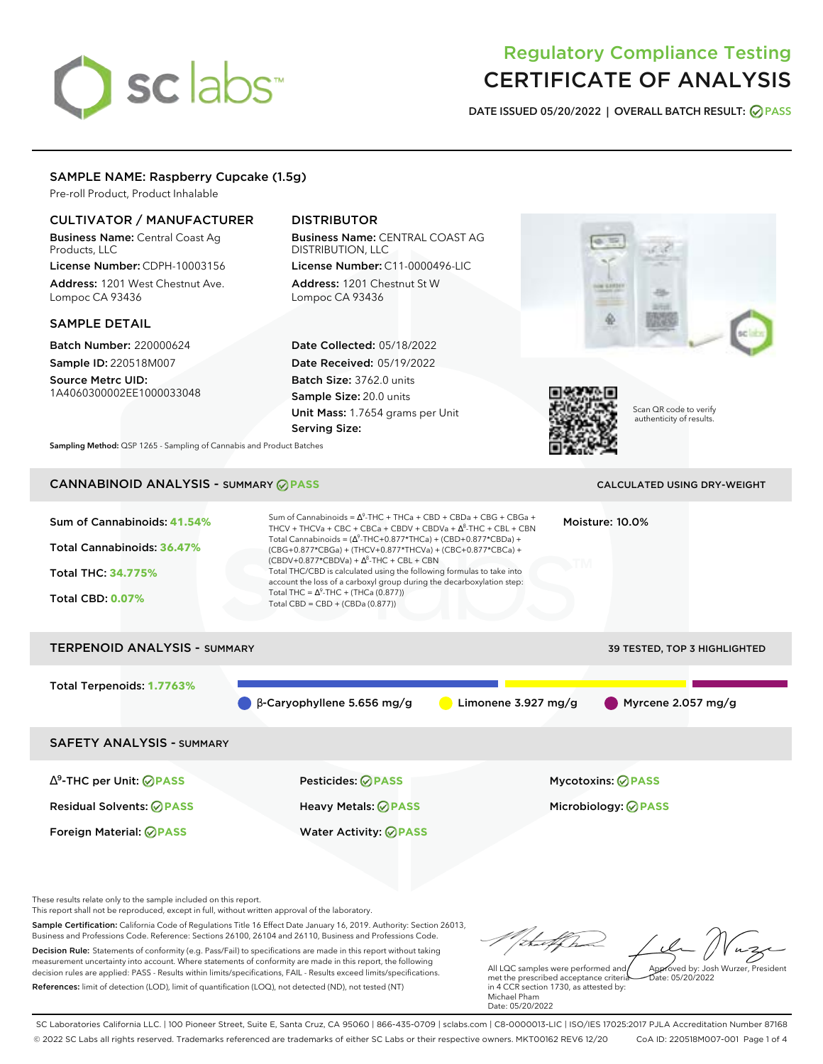# sclabs<sup>\*</sup>

# Regulatory Compliance Testing CERTIFICATE OF ANALYSIS

**DATE ISSUED 05/20/2022 | OVERALL BATCH RESULT: PASS**

# SAMPLE NAME: Raspberry Cupcake (1.5g)

Pre-roll Product, Product Inhalable

# CULTIVATOR / MANUFACTURER

Business Name: Central Coast Ag Products, LLC

License Number: CDPH-10003156 Address: 1201 West Chestnut Ave. Lompoc CA 93436

# SAMPLE DETAIL

Batch Number: 220000624 Sample ID: 220518M007

Source Metrc UID: 1A4060300002EE1000033048

# DISTRIBUTOR

Business Name: CENTRAL COAST AG DISTRIBUTION, LLC License Number: C11-0000496-LIC

Address: 1201 Chestnut St W Lompoc CA 93436

Date Collected: 05/18/2022 Date Received: 05/19/2022 Batch Size: 3762.0 units Sample Size: 20.0 units Unit Mass: 1.7654 grams per Unit Serving Size:





Scan QR code to verify authenticity of results.

**Sampling Method:** QSP 1265 - Sampling of Cannabis and Product Batches

# CANNABINOID ANALYSIS - SUMMARY **PASS** CALCULATED USING DRY-WEIGHT

| Sum of Cannabinoids: 41.54%<br>Total Cannabinoids: 36.47%<br><b>Total THC: 34.775%</b><br><b>Total CBD: 0.07%</b> | Sum of Cannabinoids = $\Lambda^9$ -THC + THCa + CBD + CBDa + CBG + CBGa +<br>THCV + THCVa + CBC + CBCa + CBDV + CBDVa + $\Delta^8$ -THC + CBL + CBN<br>Total Cannabinoids = $(\Delta^9$ -THC+0.877*THCa) + (CBD+0.877*CBDa) +<br>(CBG+0.877*CBGa) + (THCV+0.877*THCVa) + (CBC+0.877*CBCa) +<br>$(CBDV+0.877*CBDVa) + \Delta^8$ -THC + CBL + CBN<br>Total THC/CBD is calculated using the following formulas to take into<br>account the loss of a carboxyl group during the decarboxylation step:<br>Total THC = $\Delta^9$ -THC + (THCa (0.877))<br>Total CBD = $CBD + (CBDa (0.877))$ |                       | Moisture: 10.0%                                 |
|-------------------------------------------------------------------------------------------------------------------|-----------------------------------------------------------------------------------------------------------------------------------------------------------------------------------------------------------------------------------------------------------------------------------------------------------------------------------------------------------------------------------------------------------------------------------------------------------------------------------------------------------------------------------------------------------------------------------------|-----------------------|-------------------------------------------------|
| <b>TERPENOID ANALYSIS - SUMMARY</b>                                                                               |                                                                                                                                                                                                                                                                                                                                                                                                                                                                                                                                                                                         |                       | <b>39 TESTED, TOP 3 HIGHLIGHTED</b>             |
| Total Terpenoids: 1.7763%                                                                                         | $\beta$ -Caryophyllene 5.656 mg/g                                                                                                                                                                                                                                                                                                                                                                                                                                                                                                                                                       | Limonene $3.927$ mg/g | Myrcene 2.057 mg/g                              |
| <b>SAFETY ANALYSIS - SUMMARY</b>                                                                                  |                                                                                                                                                                                                                                                                                                                                                                                                                                                                                                                                                                                         |                       |                                                 |
| $\Delta^9$ -THC per Unit: $\oslash$ PASS<br><b>Residual Solvents: ⊘PASS</b>                                       | <b>Pesticides: ⊘ PASS</b><br><b>Heavy Metals: ⊘ PASS</b>                                                                                                                                                                                                                                                                                                                                                                                                                                                                                                                                |                       | Mycotoxins: ⊘PASS<br>Microbiology: <b>⊘PASS</b> |

These results relate only to the sample included on this report.

This report shall not be reproduced, except in full, without written approval of the laboratory.

Sample Certification: California Code of Regulations Title 16 Effect Date January 16, 2019. Authority: Section 26013, Business and Professions Code. Reference: Sections 26100, 26104 and 26110, Business and Professions Code. Decision Rule: Statements of conformity (e.g. Pass/Fail) to specifications are made in this report without taking measurement uncertainty into account. Where statements of conformity are made in this report, the following decision rules are applied: PASS - Results within limits/specifications, FAIL - Results exceed limits/specifications.

Foreign Material: **PASS** Water Activity: **PASS**

References: limit of detection (LOD), limit of quantification (LOQ), not detected (ND), not tested (NT)

talk Approved by: Josh Wurzer, President

Date: 05/20/2022

All LQC samples were performed and met the prescribed acceptance criteria in 4 CCR section 1730, as attested by: Michael Pham Date: 05/20/2022

SC Laboratories California LLC. | 100 Pioneer Street, Suite E, Santa Cruz, CA 95060 | 866-435-0709 | sclabs.com | C8-0000013-LIC | ISO/IES 17025:2017 PJLA Accreditation Number 87168 © 2022 SC Labs all rights reserved. Trademarks referenced are trademarks of either SC Labs or their respective owners. MKT00162 REV6 12/20 CoA ID: 220518M007-001 Page 1 of 4